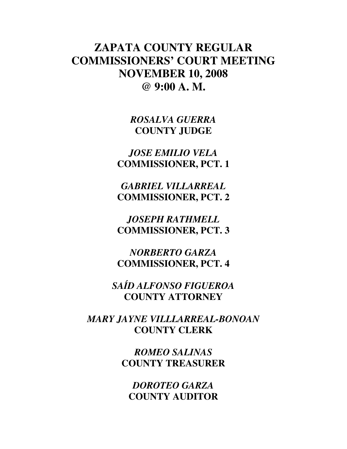# **ZAPATA COUNTY REGULAR COMMISSIONERS' COURT MEETING NOVEMBER 10, 2008 @ 9:00 A. M.**

*ROSALVA GUERRA*  **COUNTY JUDGE** 

*JOSE EMILIO VELA*  **COMMISSIONER, PCT. 1** 

*GABRIEL VILLARREAL*  **COMMISSIONER, PCT. 2** 

*JOSEPH RATHMELL*  **COMMISSIONER, PCT. 3** 

*NORBERTO GARZA*  **COMMISSIONER, PCT. 4** 

*SAÍD ALFONSO FIGUEROA*  **COUNTY ATTORNEY** 

*MARY JAYNE VILLLARREAL-BONOAN*  **COUNTY CLERK** 

> *ROMEO SALINAS*  **COUNTY TREASURER**

*DOROTEO GARZA*  **COUNTY AUDITOR**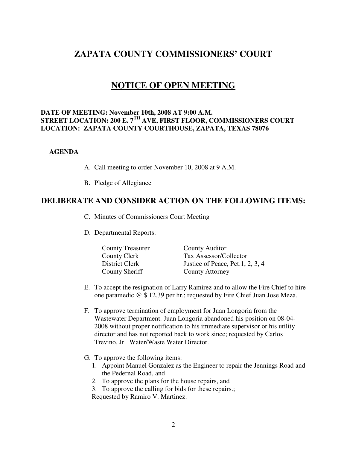# **ZAPATA COUNTY COMMISSIONERS' COURT**

# **NOTICE OF OPEN MEETING**

#### **DATE OF MEETING: November 10th, 2008 AT 9:00 A.M. STREET LOCATION: 200 E. 7TH AVE, FIRST FLOOR, COMMISSIONERS COURT LOCATION: ZAPATA COUNTY COURTHOUSE, ZAPATA, TEXAS 78076**

#### **AGENDA**

- A. Call meeting to order November 10, 2008 at 9 A.M.
- B. Pledge of Allegiance

## **DELIBERATE AND CONSIDER ACTION ON THE FOLLOWING ITEMS:**

- C. Minutes of Commissioners Court Meeting
- D. Departmental Reports:

| <b>County Treasurer</b> | County Auditor                   |
|-------------------------|----------------------------------|
| County Clerk            | Tax Assessor/Collector           |
| District Clerk          | Justice of Peace, Pct.1, 2, 3, 4 |
| County Sheriff          | County Attorney                  |

- E. To accept the resignation of Larry Ramirez and to allow the Fire Chief to hire one paramedic @ \$ 12.39 per hr.; requested by Fire Chief Juan Jose Meza.
- F. To approve termination of employment for Juan Longoria from the Wastewater Department. Juan Longoria abandoned his position on 08-04- 2008 without proper notification to his immediate supervisor or his utility director and has not reported back to work since; requested by Carlos Trevino, Jr. Water/Waste Water Director.
- G. To approve the following items:
	- 1. Appoint Manuel Gonzalez as the Engineer to repair the Jennings Road and the Pedernal Road, and
	- 2. To approve the plans for the house repairs, and
	- 3. To approve the calling for bids for these repairs.;

Requested by Ramiro V. Martinez.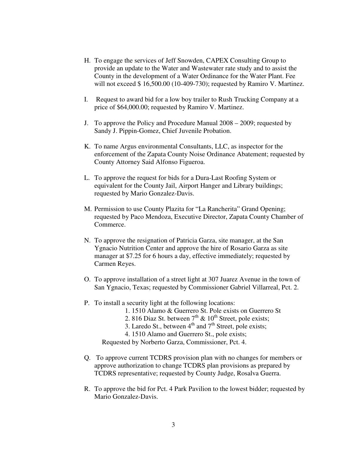- H. To engage the services of Jeff Snowden, CAPEX Consulting Group to provide an update to the Water and Wastewater rate study and to assist the County in the development of a Water Ordinance for the Water Plant. Fee will not exceed \$ 16,500.00 (10-409-730); requested by Ramiro V. Martinez.
- I. Request to award bid for a low boy trailer to Rush Trucking Company at a price of \$64,000.00; requested by Ramiro V. Martinez.
- J. To approve the Policy and Procedure Manual 2008 2009; requested by Sandy J. Pippin-Gomez, Chief Juvenile Probation.
- K. To name Argus environmental Consultants, LLC, as inspector for the enforcement of the Zapata County Noise Ordinance Abatement; requested by County Attorney Said Alfonso Figueroa.
- L. To approve the request for bids for a Dura-Last Roofing System or equivalent for the County Jail, Airport Hanger and Library buildings; requested by Mario Gonzalez-Davis.
- M. Permission to use County Plazita for "La Rancherita" Grand Opening; requested by Paco Mendoza, Executive Director, Zapata County Chamber of Commerce.
- N. To approve the resignation of Patricia Garza, site manager, at the San Ygnacio Nutrition Center and approve the hire of Rosario Garza as site manager at \$7.25 for 6 hours a day, effective immediately; requested by Carmen Reyes.
- O. To approve installation of a street light at 307 Juarez Avenue in the town of San Ygnacio, Texas; requested by Commissioner Gabriel Villarreal, Pct. 2.
- P. To install a security light at the following locations:
	- 1. 1510 Alamo & Guerrero St. Pole exists on Guerrero St
	- 2. 816 Diaz St. between  $7<sup>th</sup>$  &  $10<sup>th</sup>$  Street, pole exists;
	- 3. Laredo St., between  $4<sup>th</sup>$  and  $7<sup>th</sup>$  Street, pole exists;
	- 4. 1510 Alamo and Guerrero St., pole exists;

Requested by Norberto Garza, Commissioner, Pct. 4.

- Q. To approve current TCDRS provision plan with no changes for members or approve authorization to change TCDRS plan provisions as prepared by TCDRS representative; requested by County Judge, Rosalva Guerra.
- R. To approve the bid for Pct. 4 Park Pavilion to the lowest bidder; requested by Mario Gonzalez-Davis.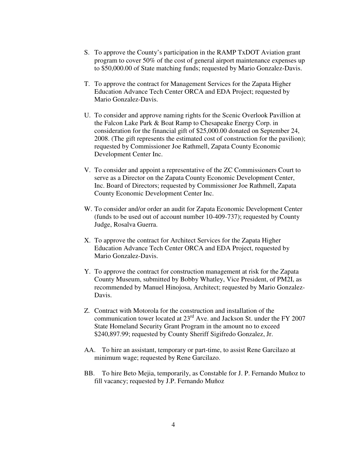- S. To approve the County's participation in the RAMP TxDOT Aviation grant program to cover 50% of the cost of general airport maintenance expenses up to \$50,000.00 of State matching funds; requested by Mario Gonzalez-Davis.
- T. To approve the contract for Management Services for the Zapata Higher Education Advance Tech Center ORCA and EDA Project; requested by Mario Gonzalez-Davis.
- U. To consider and approve naming rights for the Scenic Overlook Pavillion at the Falcon Lake Park & Boat Ramp to Chesapeake Energy Corp. in consideration for the financial gift of \$25,000.00 donated on September 24, 2008. (The gift represents the estimated cost of construction for the pavilion); requested by Commissioner Joe Rathmell, Zapata County Economic Development Center Inc.
- V. To consider and appoint a representative of the ZC Commissioners Court to serve as a Director on the Zapata County Economic Development Center, Inc. Board of Directors; requested by Commissioner Joe Rathmell, Zapata County Economic Development Center Inc.
- W. To consider and/or order an audit for Zapata Economic Development Center (funds to be used out of account number 10-409-737); requested by County Judge, Rosalva Guerra.
- X. To approve the contract for Architect Services for the Zapata Higher Education Advance Tech Center ORCA and EDA Project, requested by Mario Gonzalez-Davis.
- Y. To approve the contract for construction management at risk for the Zapata County Museum, submitted by Bobby Whatley, Vice President, of PM2I, as recommended by Manuel Hinojosa, Architect; requested by Mario Gonzalez-Davis.
- Z. Contract with Motorola for the construction and installation of the communication tower located at  $23<sup>rd</sup>$  Ave. and Jackson St. under the FY 2007 State Homeland Security Grant Program in the amount no to exceed \$240,897.99; requested by County Sheriff Sigifredo Gonzalez, Jr.
- AA. To hire an assistant, temporary or part-time, to assist Rene Garcilazo at minimum wage; requested by Rene Garcilazo.
- BB. To hire Beto Mejia, temporarily, as Constable for J. P. Fernando Muñoz to fill vacancy; requested by J.P. Fernando Muñoz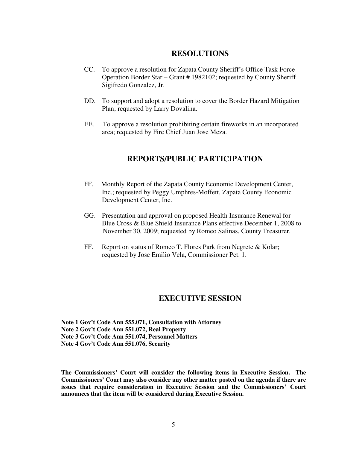#### **RESOLUTIONS**

- CC. To approve a resolution for Zapata County Sheriff's Office Task Force- Operation Border Star – Grant # 1982102; requested by County Sheriff Sigifredo Gonzalez, Jr.
- DD. To support and adopt a resolution to cover the Border Hazard Mitigation Plan; requested by Larry Dovalina.
- EE. To approve a resolution prohibiting certain fireworks in an incorporated area; requested by Fire Chief Juan Jose Meza.

## **REPORTS/PUBLIC PARTICIPATION**

- FF. Monthly Report of the Zapata County Economic Development Center, Inc.; requested by Peggy Umphres-Moffett, Zapata County Economic Development Center, Inc.
- GG. Presentation and approval on proposed Health Insurance Renewal for Blue Cross & Blue Shield Insurance Plans effective December 1, 2008 to November 30, 2009; requested by Romeo Salinas, County Treasurer.
- FF. Report on status of Romeo T. Flores Park from Negrete & Kolar; requested by Jose Emilio Vela, Commissioner Pct. 1.

### **EXECUTIVE SESSION**

**Note 1 Gov't Code Ann 555.071, Consultation with Attorney Note 2 Gov't Code Ann 551.072, Real Property Note 3 Gov't Code Ann 551.074, Personnel Matters Note 4 Gov't Code Ann 551.076, Security** 

**The Commissioners' Court will consider the following items in Executive Session. The Commissioners' Court may also consider any other matter posted on the agenda if there are issues that require consideration in Executive Session and the Commissioners' Court announces that the item will be considered during Executive Session.**